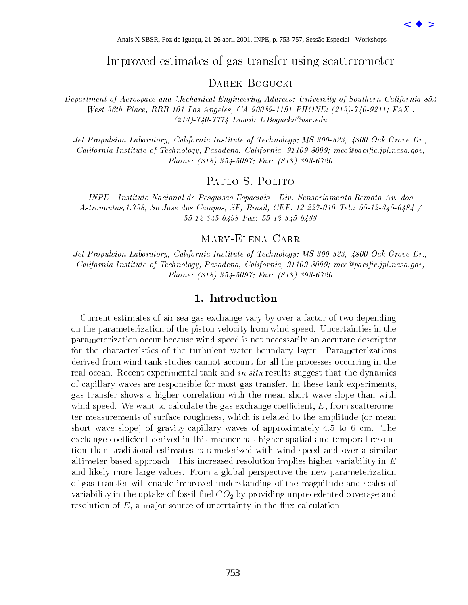# Improved estimates of gas transfer using scatterometer

#### Darek Bogucki

Department of Aerospace and Mechanical Engineering Address: University of Southern California 854 West 36th Place, RRB 101 Los Angeles, CA 90089-1191 PHONE: (213)-740-9211; FAX : (213)-740-7774 Email: DBogucki@usc.edu

Jet Propulsion Laboratory, California Institute of Technology; MS 300-323, 4800 Oak Grove Dr., California Institute of Technology; Pasadena, California, 91109-8099; mec@pacific.jpl.nasa.gov; Phone: (818) 354-5097; Fax: (818) 393-6720

## Paulo S. Polito

INPE - Instituto Nacional de Pesquisas Espaciais - Div. Sensoriamento Remoto Av. dos Astronautas,1.758, So Jose dos Campos, SP, Brasil, CEP: 12 227-010 Tel.: 55-12-345-6484 / 55-12-345-6498 Fax: 55-12-345-6488

### Mary-Elena Carr

Jet Propulsion Laboratory, California Institute of Technology; MS 300-323, 4800 Oak Grove Dr., California Institute of Technology; Pasadena, California, 91109-8099; mec@pacific.jpl.nasa.gov; Phone: (818) 354-5097; Fax: (818) 393-6720

#### 1. Introduction

Current estimates of air-sea gas exchange vary by over a factor of two depending on the parameterization of the piston velocity from wind speed. Uncertainties in the parameterization occur because wind speed is not necessarily an accurate descriptor for the characteristics of the turbulent water boundary layer. Parameterizations derived from wind tank studies cannot account for all the processes occurring in the real ocean. Recent experimental tank and in situ results suggest that the dynamics of capillary waves are responsible for most gas transfer. In these tank experiments, gas transfer shows a higher correlation with the mean short wave slope than with wind speed. We want to calculate the gas exchange coefficient,  $E$ , from scatterometer measurements of surface roughness, which is related to the amplitude (or mean short wave slope) of gravity-capillary waves of approximately 4.5 to 6 cm. The exchange coefficient derived in this manner has higher spatial and temporal resolution than traditional estimates parameterized with wind-speed and over a similar altimeter-based approach. This increased resolution implies higher variability in  $E$ and likely more large values. From a global perspective the new parameterization of gas transfer will enable improved understanding of the magnitude and scales of variability in the uptake of fossil-fuel  $CO<sub>2</sub>$  by providing unprecedented coverage and resolution of  $E$ , a major source of uncertainty in the flux calculation. Anais X SBSR, For do Iguaçu, 21-26 abril 2000 EXER, For do Iguaçu, 21-26 abril 2000 EXER, Interaspect and Mechanical Engineering Addition and Figure 2011, INDENT BOC UCKL<br>
Accounting Additional Engineering Addition Engine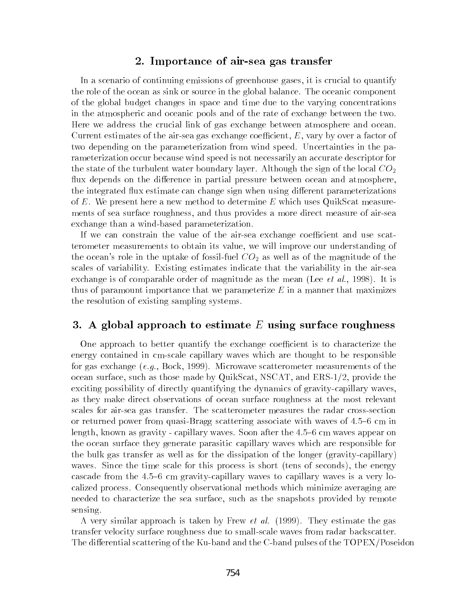#### 2. Importance of air-sea gas transfer

In a scenario of continuing emissions of greenhouse gases, it is crucial to quantify the role of the ocean as sink or source in the global balance. The oceanic component of the global budget changes in space and time due to the varying concentrations in the atmospheric and oceanic pools and of the rate of exchange between the two. Here we address the crucial link of gas exchange between atmosphere and ocean. Current estimates of the air-sea gas exchange coefficient,  $E$ , vary by over a factor of two depending on the parameterization from wind speed. Uncertainties in the parameterization occur because wind speed is not necessarily an accurate descriptor for the state of the turbulent water boundary layer. Although the sign of the local  $CO_2$ flux depends on the difference in partial pressure between ocean and atmosphere, the integrated flux estimate can change sign when using different parameterizations of  $E$ . We present here a new method to determine  $E$  which uses QuikScat measurements of sea surface roughness, and thus provides a more direct measure of air-sea exchange than a wind-based parameterization.

If we can constrain the value of the air-sea exchange coefficient and use scatterometer measurements to obtain its value, we will improve our understanding of the ocean's role in the uptake of fossil-fuel  $CO<sub>2</sub>$  as well as of the magnitude of the scales of variability. Existing estimates indicate that the variability in the air-sea exchange is of comparable order of magnitude as the mean (Lee  $et$   $al.$ , 1998). It is thus of paramount importance that we parameterize  $E$  in a manner that maximizes the resolution of existing sampling systems.

#### 3. A global approach to estimate  $E$  using surface roughness

One approach to better quantify the exchange coefficient is to characterize the energy contained in cm-scale capillary waves which are thought to be responsible for gas exchange  $(e.g., \text{Bock}, 1999)$ . Microwave scatterometer measurements of the ocean surface, such as those made by QuikScat, NSCAT, and ERS-1/2, provide the exciting possibility of directly quantifying the dynamics of gravity-capillary waves, as they make direct observations of ocean surface roughness at the most relevant scales for air-sea gas transfer. The scatterometer measures the radar cross-section or returned power from quasi-Bragg scattering associate with waves of  $4.5{-}6$  cm in length, known as gravity - capillary waves. Soon after the 4.5-6 cm waves appear on the ocean surface they generate parasitic capillary waves which are responsible for the bulk gas transfer as well as for the dissipation of the longer (gravity-capillary) waves. Since the time scale for this process is short (tens of seconds), the energy cascade from the  $4.5{-}6$  cm gravity-capillary waves to capillary waves is a very localized process. Consequently observational methods which minimize averaging are needed to characterize the sea surface, such as the snapshots provided by remote sensing.

A very similar approach is taken by Frew  $et$  al. (1999). They estimate the gas transfer velocity surface roughness due to small-scale waves from radar backscatter. The differential scattering of the Ku-band and the C-band pulses of the TOPEX/Poseidon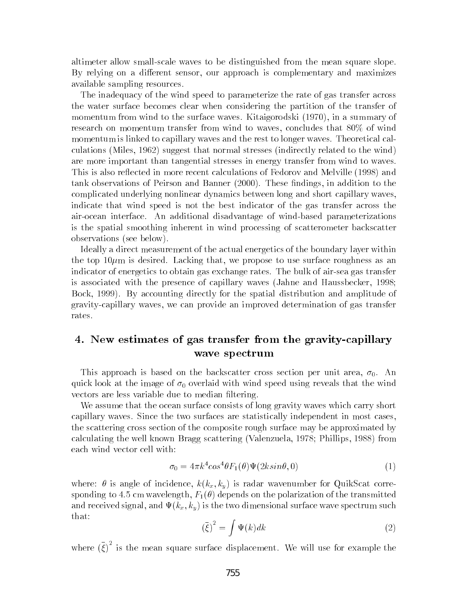altimeter allow small-scale waves to be distinguished from the mean square slope. By relying on a different sensor, our approach is complementary and maximizes available sampling resources.

The inadequacy of the wind speed to parameterize the rate of gas transfer across the water surface becomes clear when considering the partition of the transfer of momentum from wind to the surface waves. Kitaigorodski (1970), in a summary of research on momentum transfer from wind to waves, concludes that 80% of wind momentum is linked to capillary waves and the rest to longer waves. Theoretical calculations (Miles, 1962) suggest that normal stresses (indirectly related to the wind) are more important than tangential stresses in energy transfer from wind to waves. This is also reflected in more recent calculations of Fedorov and Melville (1998) and tank observations of Peirson and Banner (2000). These findings, in addition to the complicated underlying nonlinear dynamics between long and short capillary waves, indicate that wind speed is not the best indicator of the gas transfer across the air-ocean interface. An additional disadvantage of wind-based parameterizations is the spatial smoothing inherent in wind processing of scatterometer backscatter observations (see below).

Ideally a direct measurement of the actual energetics of the boundary layer within the top  $10\mu$ m is desired. Lacking that, we propose to use surface roughness as an indicator of energetics to obtain gas exchange rates. The bulk of air-sea gas transfer is associated with the presence of capillary waves (Jahne and Haussbecker, 1998; Bock, 1999). By accounting directly for the spatial distribution and amplitude of gravity-capillary waves, we can provide an improved determination of gas transfer rates.

## 4. New estimates of gas transfer from the gravity-capillary wave spectrum

This approach is based on the backscatter cross section per unit area,  $\sigma_0$ . An quick look at the image of  $\sigma_0$  overlaid with wind speed using reveals that the wind vectors are less variable due to median filtering.

We assume that the ocean surface consists of long gravity waves which carry short capillary waves. Since the two surfaces are statistically independent in most cases, the scattering cross section of the composite rough surface may be approximated by calculating the well known Bragg scattering (Valenzuela, 1978; Phillips, 1988) from each wind vector cell with:

$$
\sigma_0 = 4\pi k^4 \cos^4 \theta F_1(\theta)\Psi(2k\sin\theta,0) \tag{1}
$$

where:  $\theta$  is angle of incidence,  $k(k_x, k_y)$  is radar wavenumber for QuikScat corresponding to 4.5 cm wavelength,  $F_1(\theta)$  depends on the polarization of the transmitted and received signal, and  $\Psi(k_x, k_y)$  is the two dimensional surface wave spectrum such that: **Zakarta Communication** 

$$
\left(\bar{\xi}\right)^2 = \int \Psi(k)dk\tag{2}
$$

where  $(\xi)^{-}$  is the mean square surface displacement. We will use for example the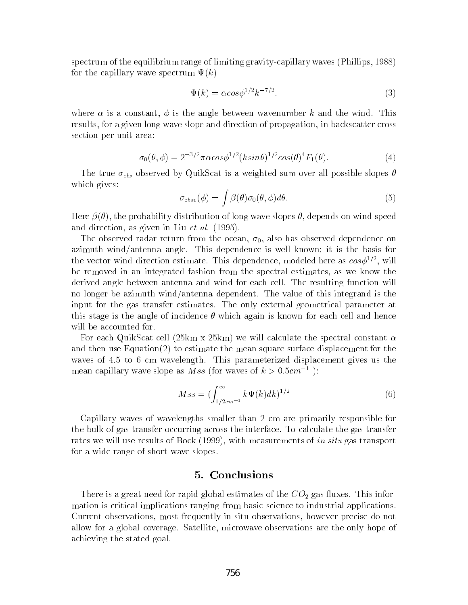spectrum of the equilibrium range of limiting gravity-capillary waves (Phillips, 1988) for the capillary wave spectrum  $\Psi(k)$ 

$$
\Psi(k) = \alpha \cos \phi^{1/2} k^{-7/2}.
$$
\n(3)

where  $\alpha$  is a constant,  $\phi$  is the angle between wavenumber k and the wind. This results, for a given long wave slope and direction of propagation, in backscatter cross section per unit area:

$$
\sigma_0(\theta,\phi) = 2^{-3/2}\pi\alpha\cos\phi^{1/2}(k\sin\theta)^{1/2}\cos(\theta)^4 F_1(\theta). \tag{4}
$$

The true  $\sigma_{obs}$  observed by QuikScat is a weighted sum over all possible slopes  $\theta$ which gives:

$$
\sigma_{obsv}(\phi) = \int \beta(\theta)\sigma_0(\theta,\phi)d\theta.
$$
 (5)

Here  $\beta(\theta)$ , the probability distribution of long wave slopes  $\theta$ , depends on wind speed and direction, as given in Liu et al. (1995).

The observed radar return from the ocean,  $\sigma_0$ , also has observed dependence on azimuth wind/antenna angle. This dependence is well known; it is the basis for the vector wind direction estimate. This dependence, modeled here as  $cos\phi^{++}$  , will be removed in an integrated fashion from the spectral estimates, as we know the derived angle between antenna and wind for each cell. The resulting function will no longer be azimuth wind/antenna dependent. The value of this integrand is the input for the gas transfer estimates. The only external geometrical parameter at this stage is the angle of incidence  $\theta$  which again is known for each cell and hence will be accounted for.

For each QuikScat cell (25km x 25km) we will calculate the spectral constant  $\alpha$ and then use Equation(2) to estimate the mean square surface displacement for the waves of 4.5 to 6 cm wavelength. This parameterized displacement gives us the mean capillary wave slope as *Mss* (for waves of  $k > 0.5cm^{-1}$ ):

$$
Mss = \left(\int_{1/2cm^{-1}}^{\infty} k\Psi(k)dk\right)^{1/2} \tag{6}
$$

Capillary waves of wavelengths smaller than 2 cm are primarily responsible for the bulk of gas transfer occurring across the interface. To calculate the gas transfer rates we will use results of Bock (1999), with measurements of in situ gas transport for a wide range of short wave slopes.

#### 5. Conclusions

There is a great need for rapid global estimates of the  $CO<sub>2</sub>$  gas fluxes. This information is critical implications ranging from basic science to industrial applications. Current observations, most frequently in situ observations, however precise do not allow for a global coverage. Satellite, microwave observations are the only hope of achieving the stated goal.